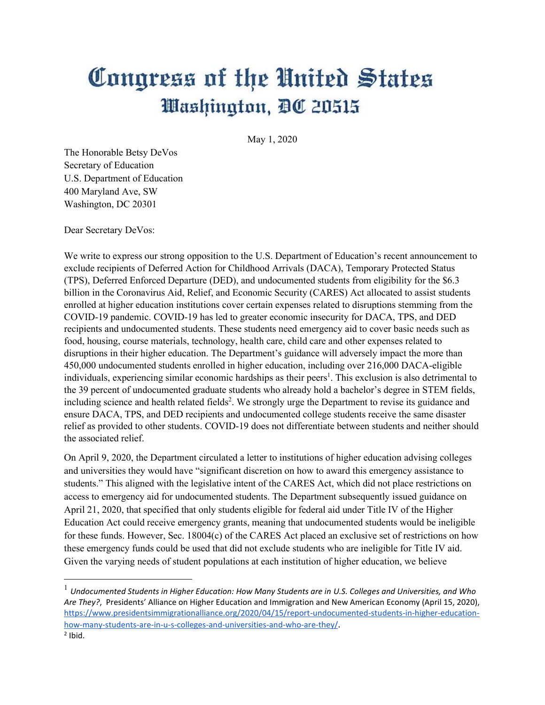## Congress of the United States Washington, DC 20515

May 1, 2020

The Honorable Betsy DeVos Secretary of Education U.S. Department of Education 400 Maryland Ave, SW Washington, DC 20301

Dear Secretary DeVos:

We write to express our strong opposition to the U.S. Department of Education's recent announcement to exclude recipients of Deferred Action for Childhood Arrivals (DACA), Temporary Protected Status (TPS), Deferred Enforced Departure (DED), and undocumented students from eligibility for the \$6.3 billion in the Coronavirus Aid, Relief, and Economic Security (CARES) Act allocated to assist students enrolled at higher education institutions cover certain expenses related to disruptions stemming from the COVID-19 pandemic. COVID-19 has led to greater economic insecurity for DACA, TPS, and DED recipients and undocumented students. These students need emergency aid to cover basic needs such as food, housing, course materials, technology, health care, child care and other expenses related to disruptions in their higher education. The Department's guidance will adversely impact the more than 450,000 undocumented students enrolled in higher education, including over 216,000 DACA-eligible individuals, experiencing similar economic hardships as their peers<sup>1</sup>. This exclusion is also detrimental to the 39 percent of undocumented graduate students who already hold a bachelor's degree in STEM fields, including science and health related fields<sup>2</sup>. We strongly urge the Department to revise its guidance and ensure DACA, TPS, and DED recipients and undocumented college students receive the same disaster relief as provided to other students. COVID-19 does not differentiate between students and neither should the associated relief.

On April 9, 2020, the Department circulated a letter to institutions of higher education advising colleges and universities they would have "significant discretion on how to award this emergency assistance to students." This aligned with the legislative intent of the CARES Act, which did not place restrictions on access to emergency aid for undocumented students. The Department subsequently issued guidance on April 21, 2020, that specified that only students eligible for federal aid under Title IV of the Higher Education Act could receive emergency grants, meaning that undocumented students would be ineligible for these funds. However, Sec. 18004(c) of the CARES Act placed an exclusive set of restrictions on how these emergency funds could be used that did not exclude students who are ineligible for Title IV aid. Given the varying needs of student populations at each institution of higher education, we believe

<sup>1</sup> *Undocumented Students in Higher Education: How Many Students are in U.S. Colleges and Universities, and Who Are They?*, Presidents' Alliance on Higher Education and Immigration and New American Economy (April 15, 2020), https://www.presidentsimmigrationalliance.org/2020/04/15/report-undocumented-students-in-higher-educationhow-many-students-are-in-u-s-colleges-and-universities-and-who-are-they/.

 $<sup>2</sup>$  Ibid.</sup>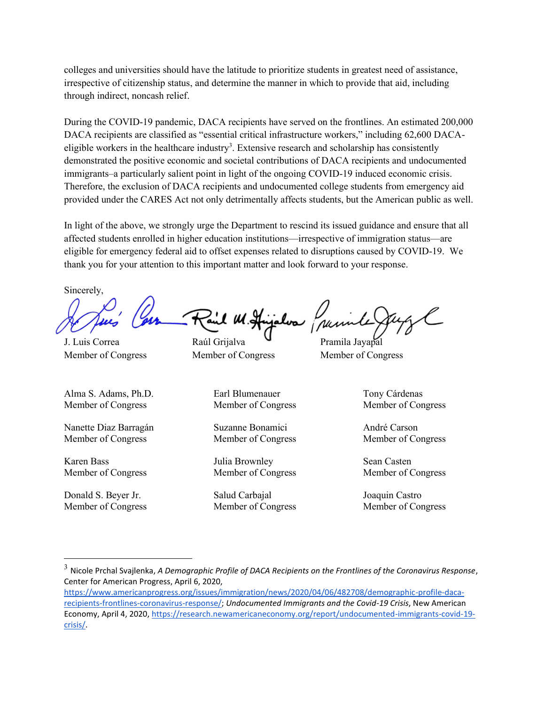colleges and universities should have the latitude to prioritize students in greatest need of assistance, irrespective of citizenship status, and determine the manner in which to provide that aid, including through indirect, noncash relief.

During the COVID-19 pandemic, DACA recipients have served on the frontlines. An estimated 200,000 DACA recipients are classified as "essential critical infrastructure workers," including 62,600 DACAeligible workers in the healthcare industry<sup>3</sup>. Extensive research and scholarship has consistently demonstrated the positive economic and societal contributions of DACA recipients and undocumented immigrants–a particularly salient point in light of the ongoing COVID-19 induced economic crisis. Therefore, the exclusion of DACA recipients and undocumented college students from emergency aid provided under the CARES Act not only detrimentally affects students, but the American public as well.

In light of the above, we strongly urge the Department to rescind its issued guidance and ensure that all affected students enrolled in higher education institutions—irrespective of immigration status—are eligible for emergency federal aid to offset expenses related to disruptions caused by COVID-19. We thank you for your attention to this important matter and look forward to your response.

Sincerely,

J. Luis Correa Raúl Grijalva Pramila Jayapal

Alma S. Adams, Ph.D. Member of Congress

Nanette Diaz Barragán Member of Congress

Karen Bass Member of Congress

Donald S. Beyer Jr. Member of Congress

Member of Congress Member of Congress Member of Congress

Earl Blumenauer Member of Congress

Suzanne Bonamici Member of Congress

Julia Brownley Member of Congress

Salud Carbajal Member of Congress Tony Cárdenas Member of Congress

André Carson Member of Congress

Sean Casten Member of Congress

Joaquin Castro Member of Congress

<sup>3</sup> Nicole Prchal Svajlenka, *A Demographic Profile of DACA Recipients on the Frontlines of the Coronavirus Response*, Center for American Progress, April 6, 2020,

https://www.americanprogress.org/issues/immigration/news/2020/04/06/482708/demographic-profile-dacarecipients-frontlines-coronavirus-response/; *Undocumented Immigrants and the Covid-19 Crisis*, New American Economy, April 4, 2020, https://research.newamericaneconomy.org/report/undocumented-immigrants-covid-19 crisis/.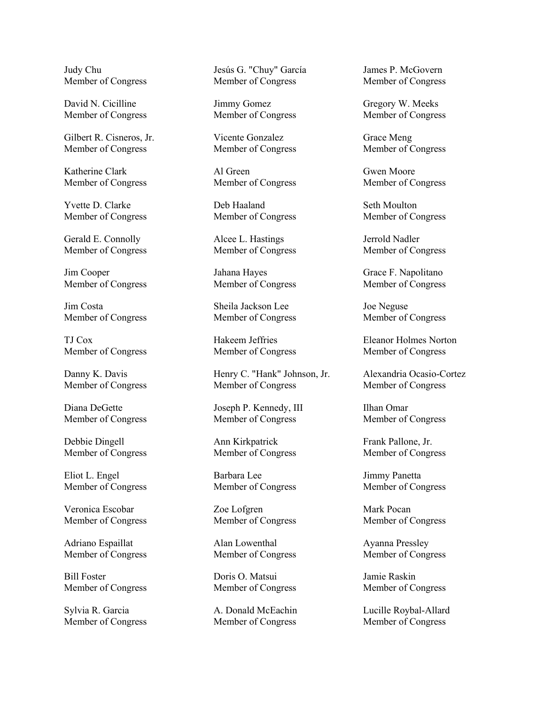Judy Chu Member of Congress

David N. Cicilline Member of Congress

Gilbert R. Cisneros, Jr. Member of Congress

Katherine Clark Member of Congress

Yvette D. Clarke Member of Congress

Gerald E. Connolly Member of Congress

Jim Cooper Member of Congress

Jim Costa Member of Congress

TJ Cox Member of Congress

Danny K. Davis Member of Congress

Diana DeGette Member of Congress

Debbie Dingell Member of Congress

Eliot L. Engel Member of Congress

Veronica Escobar Member of Congress

Adriano Espaillat Member of Congress

Bill Foster Member of Congress

Sylvia R. Garcia Member of Congress

Jesús G. "Chuy" García Member of Congress

Jimmy Gomez Member of Congress

Vicente Gonzalez Member of Congress

Al Green Member of Congress

Deb Haaland Member of Congress

Alcee L. Hastings Member of Congress

Jahana Hayes Member of Congress

Sheila Jackson Lee Member of Congress

Hakeem Jeffries Member of Congress

Henry C. "Hank" Johnson, Jr. Member of Congress

Joseph P. Kennedy, III Member of Congress

Ann Kirkpatrick Member of Congress

Barbara Lee Member of Congress

Zoe Lofgren Member of Congress

Alan Lowenthal Member of Congress

Doris O. Matsui Member of Congress

A. Donald McEachin Member of Congress

James P. McGovern Member of Congress

Gregory W. Meeks Member of Congress

Grace Meng Member of Congress

Gwen Moore Member of Congress

Seth Moulton Member of Congress

Jerrold Nadler Member of Congress

Grace F. Napolitano Member of Congress

Joe Neguse Member of Congress

Eleanor Holmes Norton Member of Congress

Alexandria Ocasio-Cortez Member of Congress

Ilhan Omar Member of Congress

Frank Pallone, Jr. Member of Congress

Jimmy Panetta Member of Congress

Mark Pocan Member of Congress

Ayanna Pressley Member of Congress

Jamie Raskin Member of Congress

Lucille Roybal-Allard Member of Congress